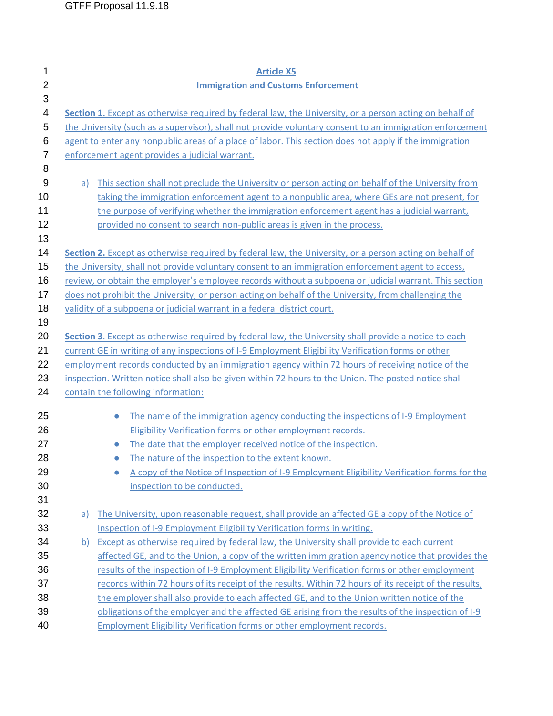| 1              | <b>Article X5</b>                                                                                        |  |  |
|----------------|----------------------------------------------------------------------------------------------------------|--|--|
| $\overline{2}$ | <b>Immigration and Customs Enforcement</b>                                                               |  |  |
| 3              |                                                                                                          |  |  |
| 4              | Section 1. Except as otherwise required by federal law, the University, or a person acting on behalf of  |  |  |
| 5              | the University (such as a supervisor), shall not provide voluntary consent to an immigration enforcement |  |  |
| 6              | agent to enter any nonpublic areas of a place of labor. This section does not apply if the immigration   |  |  |
| 7              | enforcement agent provides a judicial warrant.                                                           |  |  |
| 8              |                                                                                                          |  |  |
| 9              | This section shall not preclude the University or person acting on behalf of the University from<br>a)   |  |  |
| 10             | taking the immigration enforcement agent to a nonpublic area, where GEs are not present, for             |  |  |
| 11             | the purpose of verifying whether the immigration enforcement agent has a judicial warrant,               |  |  |
| 12             | provided no consent to search non-public areas is given in the process.                                  |  |  |
| 13             |                                                                                                          |  |  |
| 14             | Section 2. Except as otherwise required by federal law, the University, or a person acting on behalf of  |  |  |
| 15             | the University, shall not provide voluntary consent to an immigration enforcement agent to access,       |  |  |
| 16             | review, or obtain the employer's employee records without a subpoena or judicial warrant. This section   |  |  |
| 17             | does not prohibit the University, or person acting on behalf of the University, from challenging the     |  |  |
| 18             | validity of a subpoena or judicial warrant in a federal district court.                                  |  |  |
| 19             |                                                                                                          |  |  |
| 20             | Section 3. Except as otherwise required by federal law, the University shall provide a notice to each    |  |  |
| 21             | current GE in writing of any inspections of I-9 Employment Eligibility Verification forms or other       |  |  |
| 22             | employment records conducted by an immigration agency within 72 hours of receiving notice of the         |  |  |
| 23             | inspection. Written notice shall also be given within 72 hours to the Union. The posted notice shall     |  |  |
| 24             | contain the following information:                                                                       |  |  |
|                |                                                                                                          |  |  |
| 25             | The name of the immigration agency conducting the inspections of I-9 Employment<br>$\bullet$             |  |  |
| 26             | Eligibility Verification forms or other employment records.                                              |  |  |
| 27             | The date that the employer received notice of the inspection.<br>$\bullet$                               |  |  |
| 28             | The nature of the inspection to the extent known.                                                        |  |  |
| 29             | A copy of the Notice of Inspection of I-9 Employment Eligibility Verification forms for the              |  |  |
| 30             | inspection to be conducted.                                                                              |  |  |
| 31             |                                                                                                          |  |  |
| 32             | The University, upon reasonable request, shall provide an affected GE a copy of the Notice of<br>a)      |  |  |
| 33             | Inspection of I-9 Employment Eligibility Verification forms in writing.                                  |  |  |
| 34             | Except as otherwise required by federal law, the University shall provide to each current<br>b)          |  |  |
| 35             | affected GE, and to the Union, a copy of the written immigration agency notice that provides the         |  |  |
| 36             | results of the inspection of I-9 Employment Eligibility Verification forms or other employment           |  |  |
| 37             | records within 72 hours of its receipt of the results. Within 72 hours of its receipt of the results,    |  |  |
| 38             | the employer shall also provide to each affected GE, and to the Union written notice of the              |  |  |
| 39             | obligations of the employer and the affected GE arising from the results of the inspection of I-9        |  |  |
| 40             | <b>Employment Eligibility Verification forms or other employment records.</b>                            |  |  |